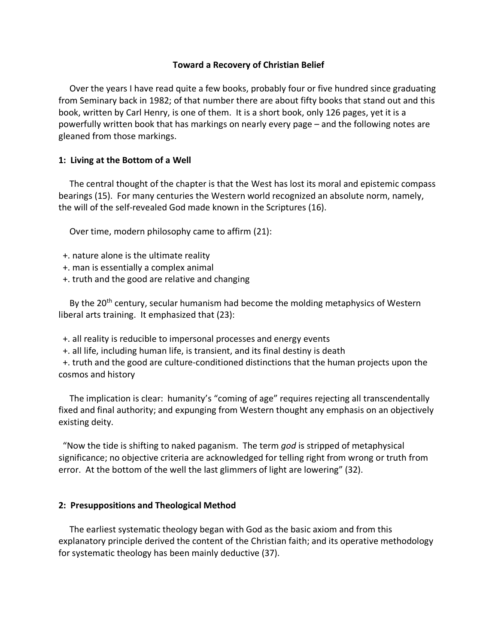# **Toward a Recovery of Christian Belief**

 Over the years I have read quite a few books, probably four or five hundred since graduating from Seminary back in 1982; of that number there are about fifty books that stand out and this book, written by Carl Henry, is one of them. It is a short book, only 126 pages, yet it is a powerfully written book that has markings on nearly every page – and the following notes are gleaned from those markings.

# **1: Living at the Bottom of a Well**

 The central thought of the chapter is that the West has lost its moral and epistemic compass bearings (15). For many centuries the Western world recognized an absolute norm, namely, the will of the self-revealed God made known in the Scriptures (16).

Over time, modern philosophy came to affirm (21):

- +. nature alone is the ultimate reality
- +. man is essentially a complex animal
- +. truth and the good are relative and changing

By the 20<sup>th</sup> century, secular humanism had become the molding metaphysics of Western liberal arts training. It emphasized that (23):

- +. all reality is reducible to impersonal processes and energy events
- +. all life, including human life, is transient, and its final destiny is death

 +. truth and the good are culture-conditioned distinctions that the human projects upon the cosmos and history

 The implication is clear: humanity's "coming of age" requires rejecting all transcendentally fixed and final authority; and expunging from Western thought any emphasis on an objectively existing deity.

 "Now the tide is shifting to naked paganism. The term *god* is stripped of metaphysical significance; no objective criteria are acknowledged for telling right from wrong or truth from error. At the bottom of the well the last glimmers of light are lowering" (32).

## **2: Presuppositions and Theological Method**

 The earliest systematic theology began with God as the basic axiom and from this explanatory principle derived the content of the Christian faith; and its operative methodology for systematic theology has been mainly deductive (37).